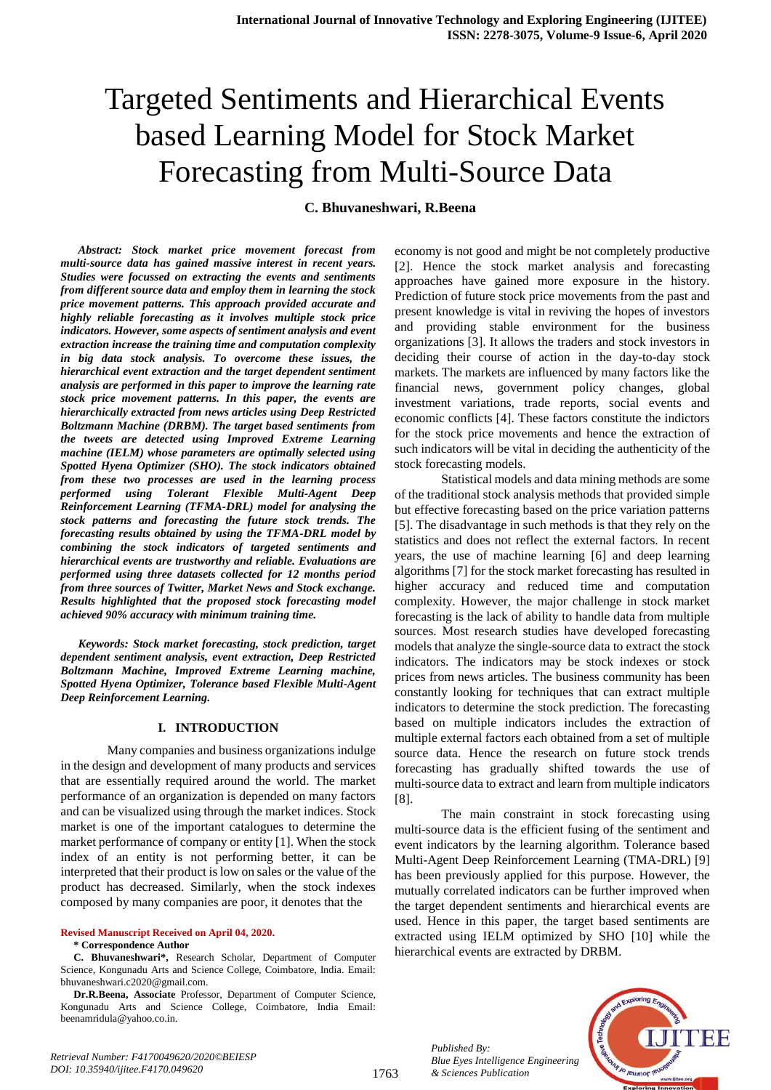# Targeted Sentiments and Hierarchical Events based Learning Model for Stock Market Forecasting from Multi-Source Data

### **C. Bhuvaneshwari, R.Beena**

*Abstract: Stock market price movement forecast from multi-source data has gained massive interest in recent years. Studies were focussed on extracting the events and sentiments from different source data and employ them in learning the stock price movement patterns. This approach provided accurate and highly reliable forecasting as it involves multiple stock price indicators. However, some aspects of sentiment analysis and event extraction increase the training time and computation complexity in big data stock analysis. To overcome these issues, the hierarchical event extraction and the target dependent sentiment analysis are performed in this paper to improve the learning rate stock price movement patterns. In this paper, the events are hierarchically extracted from news articles using Deep Restricted Boltzmann Machine (DRBM). The target based sentiments from the tweets are detected using Improved Extreme Learning machine (IELM) whose parameters are optimally selected using Spotted Hyena Optimizer (SHO). The stock indicators obtained from these two processes are used in the learning process performed using Tolerant Flexible Multi-Agent Deep Reinforcement Learning (TFMA-DRL) model for analysing the stock patterns and forecasting the future stock trends. The forecasting results obtained by using the TFMA-DRL model by combining the stock indicators of targeted sentiments and hierarchical events are trustworthy and reliable. Evaluations are performed using three datasets collected for 12 months period from three sources of Twitter, Market News and Stock exchange. Results highlighted that the proposed stock forecasting model achieved 90% accuracy with minimum training time.*

*Keywords: Stock market forecasting, stock prediction, target dependent sentiment analysis, event extraction, Deep Restricted Boltzmann Machine, Improved Extreme Learning machine, Spotted Hyena Optimizer, Tolerance based Flexible Multi-Agent Deep Reinforcement Learning.*

#### **I. INTRODUCTION**

Many companies and business organizations indulge in the design and development of many products and services that are essentially required around the world. The market performance of an organization is depended on many factors and can be visualized using through the market indices. Stock market is one of the important catalogues to determine the market performance of company or entity [1]. When the stock index of an entity is not performing better, it can be interpreted that their product is low on sales or the value of the product has decreased. Similarly, when the stock indexes composed by many companies are poor, it denotes that the

#### **Revised Manuscript Received on April 04, 2020. \* Correspondence Author**

**C. Bhuvaneshwari\*,** Research Scholar, Department of Computer Science, Kongunadu Arts and Science College, Coimbatore, India. Email: bhuvaneshwari.c2020@gmail.com.

**Dr.R.Beena, Associate** Professor, Department of Computer Science, Kongunadu Arts and Science College, Coimbatore, India Email: beenamridula@yahoo.co.in.

economy is not good and might be not completely productive [2]. Hence the stock market analysis and forecasting approaches have gained more exposure in the history. Prediction of future stock price movements from the past and present knowledge is vital in reviving the hopes of investors and providing stable environment for the business organizations [3]. It allows the traders and stock investors in deciding their course of action in the day-to-day stock markets. The markets are influenced by many factors like the financial news, government policy changes, global investment variations, trade reports, social events and economic conflicts [4]. These factors constitute the indictors for the stock price movements and hence the extraction of such indicators will be vital in deciding the authenticity of the stock forecasting models.

Statistical models and data mining methods are some of the traditional stock analysis methods that provided simple but effective forecasting based on the price variation patterns [5]. The disadvantage in such methods is that they rely on the statistics and does not reflect the external factors. In recent years, the use of machine learning [6] and deep learning algorithms [7] for the stock market forecasting has resulted in higher accuracy and reduced time and computation complexity. However, the major challenge in stock market forecasting is the lack of ability to handle data from multiple sources. Most research studies have developed forecasting models that analyze the single-source data to extract the stock indicators. The indicators may be stock indexes or stock prices from news articles. The business community has been constantly looking for techniques that can extract multiple indicators to determine the stock prediction. The forecasting based on multiple indicators includes the extraction of multiple external factors each obtained from a set of multiple source data. Hence the research on future stock trends forecasting has gradually shifted towards the use of multi-source data to extract and learn from multiple indicators [8].

The main constraint in stock forecasting using multi-source data is the efficient fusing of the sentiment and event indicators by the learning algorithm. Tolerance based Multi-Agent Deep Reinforcement Learning (TMA-DRL) [9] has been previously applied for this purpose. However, the mutually correlated indicators can be further improved when the target dependent sentiments and hierarchical events are used. Hence in this paper, the target based sentiments are extracted using IELM optimized by SHO [10] while the hierarchical events are extracted by DRBM.

> *Published By: Blue Eyes Intelligence Engineering & Sciences Publication*

1763

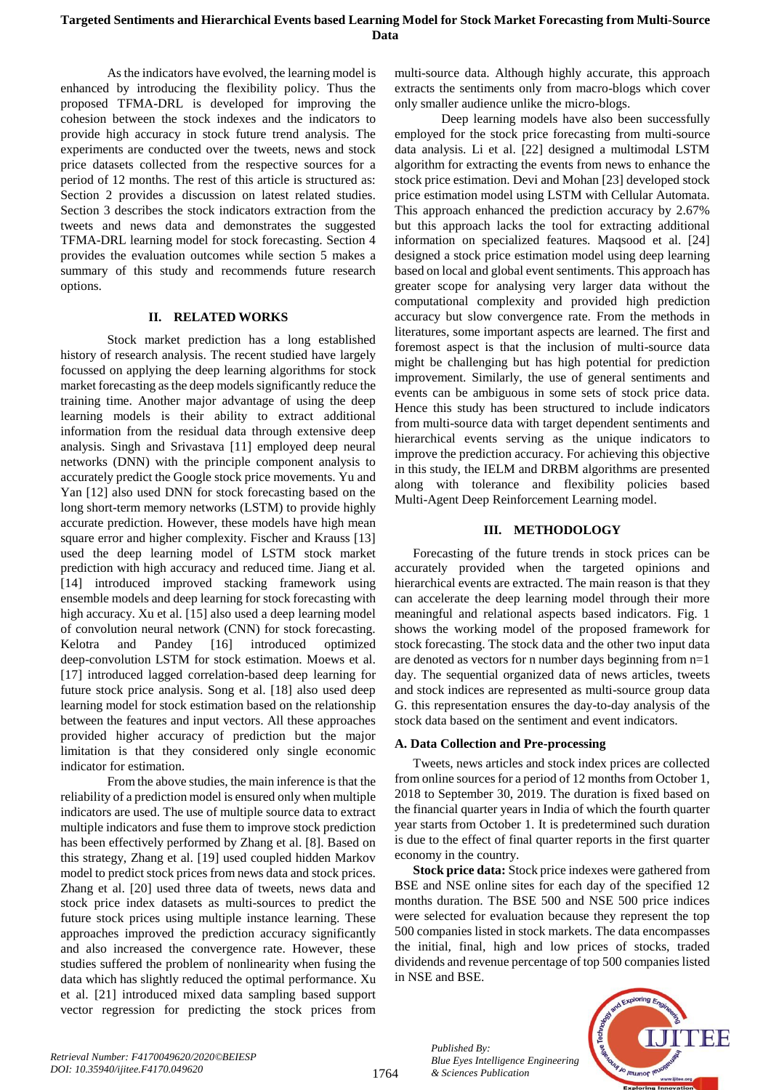As the indicators have evolved, the learning model is enhanced by introducing the flexibility policy. Thus the proposed TFMA-DRL is developed for improving the cohesion between the stock indexes and the indicators to provide high accuracy in stock future trend analysis. The experiments are conducted over the tweets, news and stock price datasets collected from the respective sources for a period of 12 months. The rest of this article is structured as: Section 2 provides a discussion on latest related studies. Section 3 describes the stock indicators extraction from the tweets and news data and demonstrates the suggested TFMA-DRL learning model for stock forecasting. Section 4 provides the evaluation outcomes while section 5 makes a summary of this study and recommends future research options.

#### **II. RELATED WORKS**

Stock market prediction has a long established history of research analysis. The recent studied have largely focussed on applying the deep learning algorithms for stock market forecasting as the deep models significantly reduce the training time. Another major advantage of using the deep learning models is their ability to extract additional information from the residual data through extensive deep analysis. Singh and Srivastava [11] employed deep neural networks (DNN) with the principle component analysis to accurately predict the Google stock price movements. Yu and Yan [12] also used DNN for stock forecasting based on the long short-term memory networks (LSTM) to provide highly accurate prediction. However, these models have high mean square error and higher complexity. Fischer and Krauss [13] used the deep learning model of LSTM stock market prediction with high accuracy and reduced time. Jiang et al. [14] introduced improved stacking framework using ensemble models and deep learning for stock forecasting with high accuracy. Xu et al. [15] also used a deep learning model of convolution neural network (CNN) for stock forecasting. Kelotra and Pandey [16] introduced optimized deep-convolution LSTM for stock estimation. Moews et al. [17] introduced lagged correlation-based deep learning for future stock price analysis. Song et al. [18] also used deep learning model for stock estimation based on the relationship between the features and input vectors. All these approaches provided higher accuracy of prediction but the major limitation is that they considered only single economic indicator for estimation.

From the above studies, the main inference is that the reliability of a prediction model is ensured only when multiple indicators are used. The use of multiple source data to extract multiple indicators and fuse them to improve stock prediction has been effectively performed by Zhang et al. [8]. Based on this strategy, Zhang et al. [19] used coupled hidden Markov model to predict stock prices from news data and stock prices. Zhang et al. [20] used three data of tweets, news data and stock price index datasets as multi-sources to predict the future stock prices using multiple instance learning. These approaches improved the prediction accuracy significantly and also increased the convergence rate. However, these studies suffered the problem of nonlinearity when fusing the data which has slightly reduced the optimal performance. Xu et al. [21] introduced mixed data sampling based support vector regression for predicting the stock prices from

multi-source data. Although highly accurate, this approach extracts the sentiments only from macro-blogs which cover only smaller audience unlike the micro-blogs.

Deep learning models have also been successfully employed for the stock price forecasting from multi-source data analysis. Li et al. [22] designed a multimodal LSTM algorithm for extracting the events from news to enhance the stock price estimation. Devi and Mohan [23] developed stock price estimation model using LSTM with Cellular Automata. This approach enhanced the prediction accuracy by 2.67% but this approach lacks the tool for extracting additional information on specialized features. Maqsood et al. [24] designed a stock price estimation model using deep learning based on local and global event sentiments. This approach has greater scope for analysing very larger data without the computational complexity and provided high prediction accuracy but slow convergence rate. From the methods in literatures, some important aspects are learned. The first and foremost aspect is that the inclusion of multi-source data might be challenging but has high potential for prediction improvement. Similarly, the use of general sentiments and events can be ambiguous in some sets of stock price data. Hence this study has been structured to include indicators from multi-source data with target dependent sentiments and hierarchical events serving as the unique indicators to improve the prediction accuracy. For achieving this objective in this study, the IELM and DRBM algorithms are presented along with tolerance and flexibility policies based Multi-Agent Deep Reinforcement Learning model.

#### **III. METHODOLOGY**

Forecasting of the future trends in stock prices can be accurately provided when the targeted opinions and hierarchical events are extracted. The main reason is that they can accelerate the deep learning model through their more meaningful and relational aspects based indicators. Fig. 1 shows the working model of the proposed framework for stock forecasting. The stock data and the other two input data are denoted as vectors for n number days beginning from n=1 day. The sequential organized data of news articles, tweets and stock indices are represented as multi-source group data G. this representation ensures the day-to-day analysis of the stock data based on the sentiment and event indicators.

#### **A. Data Collection and Pre-processing**

Tweets, news articles and stock index prices are collected from online sources for a period of 12 months from October 1, 2018 to September 30, 2019. The duration is fixed based on the financial quarter years in India of which the fourth quarter year starts from October 1. It is predetermined such duration is due to the effect of final quarter reports in the first quarter economy in the country.

**Stock price data:** Stock price indexes were gathered from BSE and NSE online sites for each day of the specified 12 months duration. The BSE 500 and NSE 500 price indices were selected for evaluation because they represent the top 500 companies listed in stock markets. The data encompasses the initial, final, high and low prices of stocks, traded dividends and revenue percentage of top 500 companies listed in NSE and BSE.



*Published By:*

*& Sciences Publication* 

*Blue Eyes Intelligence Engineering*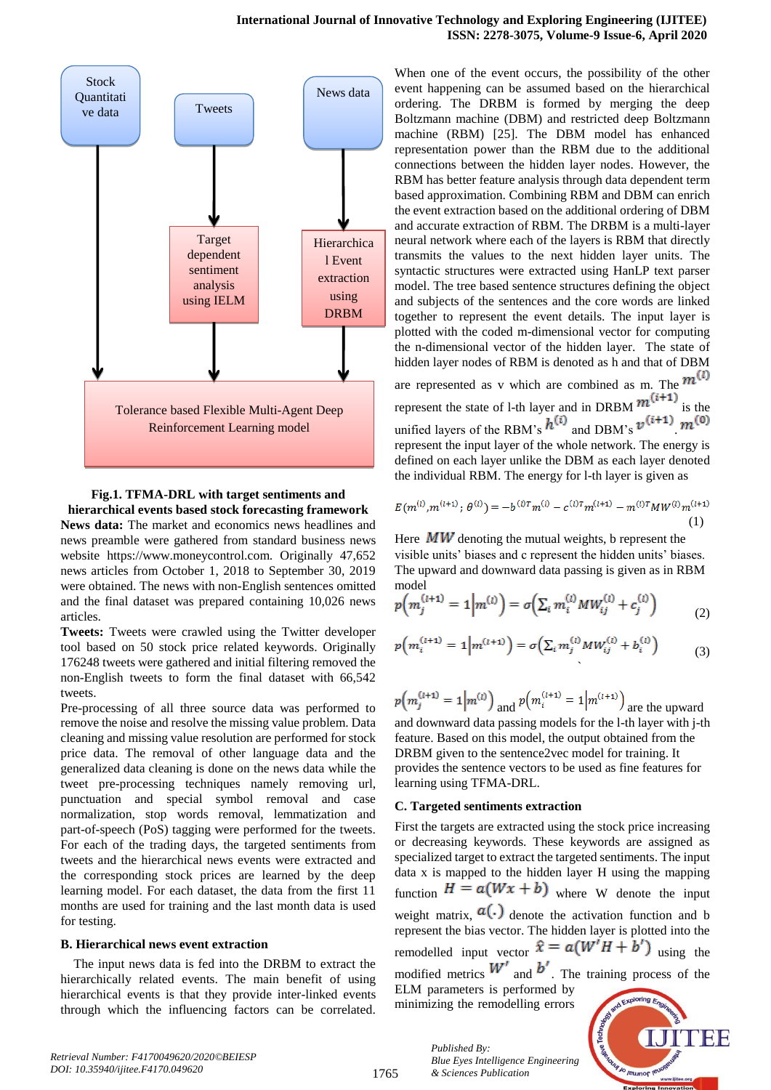

**Fig.1. TFMA-DRL with target sentiments and hierarchical events based stock forecasting framework**

**News data:** The market and economics news headlines and news preamble were gathered from standard business news website https://www.moneycontrol.com. Originally 47,652 news articles from October 1, 2018 to September 30, 2019 were obtained. The news with non-English sentences omitted and the final dataset was prepared containing 10,026 news articles.

**Tweets:** Tweets were crawled using the Twitter developer tool based on 50 stock price related keywords. Originally 176248 tweets were gathered and initial filtering removed the non-English tweets to form the final dataset with 66,542 tweets.

Pre-processing of all three source data was performed to remove the noise and resolve the missing value problem. Data cleaning and missing value resolution are performed for stock price data. The removal of other language data and the generalized data cleaning is done on the news data while the tweet pre-processing techniques namely removing url, punctuation and special symbol removal and case normalization, stop words removal, lemmatization and part-of-speech (PoS) tagging were performed for the tweets. For each of the trading days, the targeted sentiments from tweets and the hierarchical news events were extracted and the corresponding stock prices are learned by the deep learning model. For each dataset, the data from the first 11 months are used for training and the last month data is used for testing.

#### **B. Hierarchical news event extraction**

The input news data is fed into the DRBM to extract the hierarchically related events. The main benefit of using hierarchical events is that they provide inter-linked events through which the influencing factors can be correlated.

When one of the event occurs, the possibility of the other event happening can be assumed based on the hierarchical ordering. The DRBM is formed by merging the deep Boltzmann machine (DBM) and restricted deep Boltzmann machine (RBM) [25]. The DBM model has enhanced representation power than the RBM due to the additional connections between the hidden layer nodes. However, the RBM has better feature analysis through data dependent term based approximation. Combining RBM and DBM can enrich the event extraction based on the additional ordering of DBM and accurate extraction of RBM. The DRBM is a multi-layer neural network where each of the layers is RBM that directly transmits the values to the next hidden layer units. The syntactic structures were extracted using HanLP text parser model. The tree based sentence structures defining the object and subjects of the sentences and the core words are linked together to represent the event details. The input layer is plotted with the coded m-dimensional vector for computing the n-dimensional vector of the hidden layer. The state of hidden layer nodes of RBM is denoted as h and that of DBM are represented as v which are combined as m. The  $m^{(1)}$ represent the state of 1-th layer and in DRBM  $m^{(i+1)}$  is the unified layers of the RBM's  $h^{(i)}$  and DBM's  $v^{(i+1)}$   $m^{(0)}$ represent the input layer of the whole network. The energy is defined on each layer unlike the DBM as each layer denoted

 $E(m^{(i)}, m^{(i+1)}; \theta^{(i)}) = -b^{(i)T}m^{(i)} - c^{(i)T}m^{(i+1)} - m^{(i)T}MW^{(i)}m^{(i+1)}$ (1)

the individual RBM. The energy for l-th layer is given as

Here  $MW$  denoting the mutual weights, b represent the visible units' biases and c represent the hidden units' biases. The upward and downward data passing is given as in RBM model

$$
p(m_j^{(l+1)} = 1 | m^{(l)} ) = \sigma \left( \sum_i m_i^{(l)} M W_{ij}^{(l)} + c_j^{(l)} \right)
$$
 (2)

$$
p(m_i^{(l+1)} = 1 | m^{(l+1)} ) = \sigma \left( \sum_i m_j^{(l)} M W_{ij}^{(l)} + b_i^{(l)} \right)
$$
(3)

$$
p(m_j^{(l+1)} = 1 | m^{(l)})
$$
 and  $p(m_i^{(l+1)} = 1 | m^{(l+1)})$  are the upward

and downward data passing models for the l-th layer with j-th feature. Based on this model, the output obtained from the DRBM given to the sentence2vec model for training. It provides the sentence vectors to be used as fine features for learning using TFMA-DRL.

#### **C. Targeted sentiments extraction**

*Published By:*

*& Sciences Publication* 

*Blue Eyes Intelligence Engineering* 

First the targets are extracted using the stock price increasing or decreasing keywords. These keywords are assigned as specialized target to extract the targeted sentiments. The input data x is mapped to the hidden layer H using the mapping function  $H = a(Wx + b)$  where W denote the input weight matrix,  $\mathbf{u}(\cdot)$  denote the activation function and b represent the bias vector. The hidden layer is plotted into the remodelled input vector  $\hat{x} = a(W^{\dagger}H + b^{\dagger})$  using the modified metrics  $W'$  and  $b'$ . The training process of the ELM parameters is performed by minimizing the remodelling errors

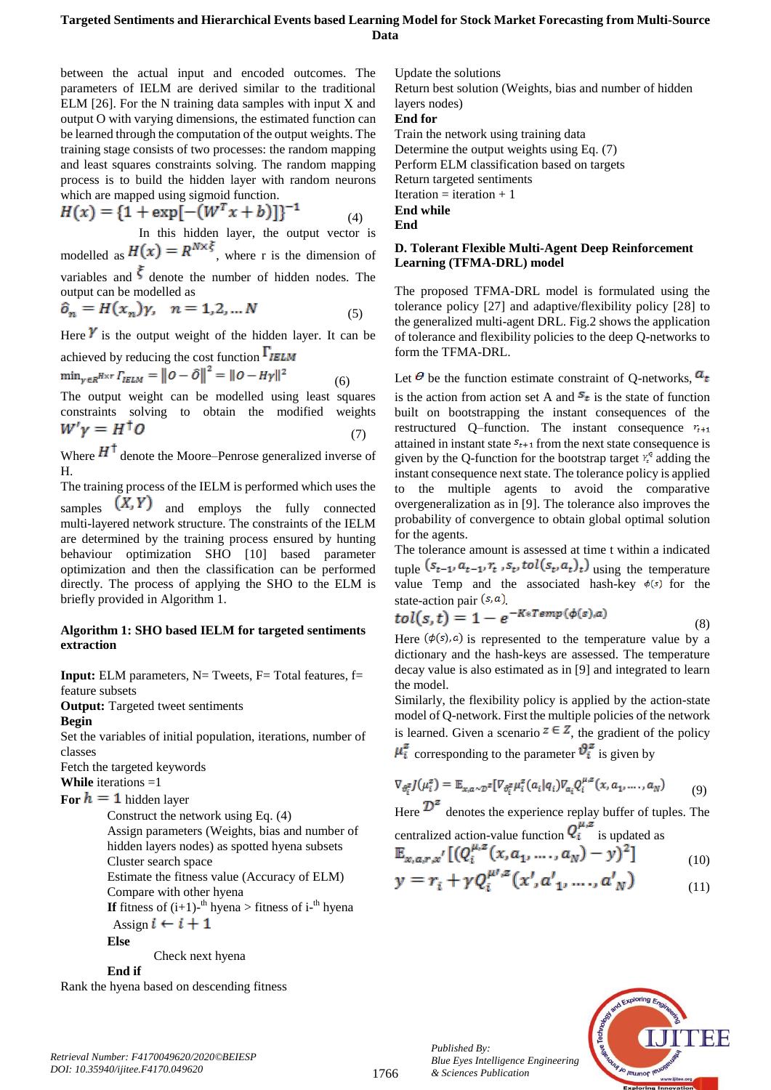#### **Targeted Sentiments and Hierarchical Events based Learning Model for Stock Market Forecasting from Multi-Source Data**

between the actual input and encoded outcomes. The parameters of IELM are derived similar to the traditional ELM [26]. For the N training data samples with input X and output O with varying dimensions, the estimated function can be learned through the computation of the output weights. The training stage consists of two processes: the random mapping and least squares constraints solving. The random mapping process is to build the hidden layer with random neurons which are mapped using sigmoid function.

$$
H(x) = \{1 + \exp[-(W^T x + b)]\}^{-1}
$$
 (4)

In this hidden layer, the output vector is modelled as  $H(x) = R^{N \times \xi}$ , where r is the dimension of variables and  $\zeta$  denote the number of hidden nodes. The

output can be modelled as  
\n
$$
\hat{o}_n = H(x_n)\gamma, \quad n = 1, 2, ... N
$$
\n(5)

Here  $\gamma$  is the output weight of the hidden layer. It can be

achieved by reducing the cost function  $\Gamma_{\text{IELM}}$ <br>min<sub> $\gamma \in \mathbb{R}^{H \times \tau}$ </sub> $\Gamma_{\text{IELM}} = ||O - \hat{O}||^2 = ||O - H\gamma||^2$ (6)

The output weight can be modelled using least squares constraints solving to obtain the modified weights  $W'v = H^{\dagger}O$ (7)

Where  $H^{\dagger}$  denote the Moore–Penrose generalized inverse of H.

The training process of the IELM is performed which uses the samples  $(X, Y)$  and employs the fully connected multi-layered network structure. The constraints of the IELM are determined by the training process ensured by hunting behaviour optimization SHO [10] based parameter optimization and then the classification can be performed directly. The process of applying the SHO to the ELM is briefly provided in Algorithm 1.

#### **Algorithm 1: SHO based IELM for targeted sentiments extraction**

**Input:** ELM parameters, N= Tweets, F= Total features, f= feature subsets

**Output:** Targeted tweet sentiments

```
Begin
```
Set the variables of initial population, iterations, number of classes

Fetch the targeted keywords

**While** iterations =1

**For**  $h = 1$  hidden layer

Construct the network using Eq. (4) Assign parameters (Weights, bias and number of hidden layers nodes) as spotted hyena subsets Cluster search space Estimate the fitness value (Accuracy of ELM) Compare with other hyena **If** fitness of  $(i+1)$ <sup>th</sup> hyena > fitness of  $i$ <sup>th</sup> hyena

Assign  $i \leftarrow i + 1$ 

**Else**

Check next hyena

**End if**

Rank the hyena based on descending fitness

Update the solutions

Return best solution (Weights, bias and number of hidden layers nodes)

**End for** Train the network using training data

Determine the output weights using Eq. (7)

Perform ELM classification based on targets

Return targeted sentiments

Iteration  $=$  iteration  $+1$ 

**End while End**

#### **D. Tolerant Flexible Multi-Agent Deep Reinforcement Learning (TFMA-DRL) model**

The proposed TFMA-DRL model is formulated using the tolerance policy [27] and adaptive/flexibility policy [28] to the generalized multi-agent DRL. Fig.2 shows the application of tolerance and flexibility policies to the deep Q-networks to form the TFMA-DRL.

Let  $\theta$  be the function estimate constraint of O-networks,  $a_t$ 

is the action from action set A and  $S_t$  is the state of function built on bootstrapping the instant consequences of the restructured Q–function. The instant consequence  $r_{t+1}$ attained in instant state  $s_{t+1}$  from the next state consequence is given by the Q-function for the bootstrap target  $Y_t^{\varrho}$  adding the instant consequence next state. The tolerance policy is applied to the multiple agents to avoid the comparative overgeneralization as in [9]. The tolerance also improves the probability of convergence to obtain global optimal solution for the agents.

The tolerance amount is assessed at time t within a indicated tuple  $(s_{t-1}, a_{t-1}, r_t, s_t, tol(s_t, a_t)_t)$  using the temperature value Temp and the associated hash-key  $\phi(s)$  for the state-action pair  $(s, a)$ .

$$
tol(s,t) = 1 - e^{-K * Temp(\phi(s),a)}
$$
\n(8)

Here  $(\phi(s), a)$  is represented to the temperature value by a dictionary and the hash-keys are assessed. The temperature decay value is also estimated as in [9] and integrated to learn the model.

Similarly, the flexibility policy is applied by the action-state model of Q-network. First the multiple policies of the network is learned. Given a scenario  $z \in \mathbb{Z}$ , the gradient of the policy

 $\mu_i^z$  corresponding to the parameter  $\vartheta_i^z$  is given by

$$
\nabla_{\theta_i^z} J(\mu_i^z) = \mathbb{E}_{x, a \sim \mathcal{D}^z} [\nabla_{\theta_i^z} \mu_i^z(a_i | q_i) \nabla_{a_i} Q_i^{\mu, z}(x, a_1, \dots, a_N) \tag{9}
$$

Here  $\mathcal{D}^{\mathcal{Z}}$  denotes the experience replay buffer of tuples. The centralized action-value function  $Q_i^{\mu, z}$  is updated as

$$
\mathbb{E}_{x,a,r,x'}[(Q_i^{\mu,z}(x,a_1,\ldots,a_N)-y)^2] \qquad (10)
$$

$$
y = r_i + \gamma Q_i^{\mu\prime, z}(x', a'_1, \dots, a'_N) \tag{11}
$$



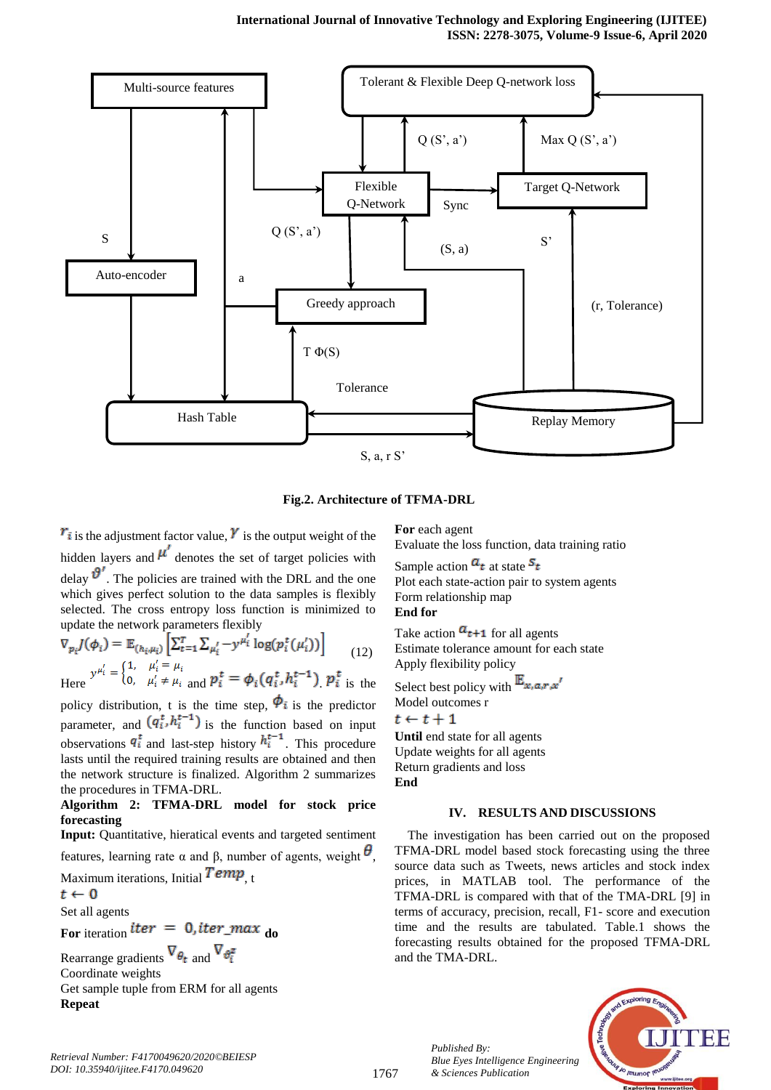

**Fig.2. Architecture of TFMA-DRL**

 $r_i$  is the adjustment factor value,  $\gamma$  is the output weight of the hidden layers and  $\mu'$  denotes the set of target policies with delay  $\mathcal{V}'$ . The policies are trained with the DRL and the one which gives perfect solution to the data samples is flexibly selected. The cross entropy loss function is minimized to update the network parameters flexibly

$$
\nabla_{p_i} J(\phi_i) = \mathbb{E}_{(h_i, \mu_i)} \left[ \sum_{t=1}^T \sum_{\mu'_i} -y^{\mu'_i} \log(p_i^t(\mu'_i)) \right]
$$
(12)

Here 
$$
y^{\mu_i} = \{0, \mu'_i \neq \mu_i \text{ and } p_i^t = \phi_i(q_i^t, h_i^{t-1}) \} p_i^t
$$
 is the

policy distribution, t is the time step,  $\Phi_i$  is the predictor parameter, and  $(q_i^t, h_i^{t-1})$  is the function based on input observations  $q_i^t$  and last-step history  $h_i^{t-1}$ . This procedure lasts until the required training results are obtained and then the network structure is finalized. Algorithm 2 summarizes the procedures in TFMA-DRL.

#### **Algorithm 2: TFMA-DRL model for stock price forecasting**

**Input:** Quantitative, hieratical events and targeted sentiment features, learning rate  $\alpha$  and β, number of agents, weight  $\theta$ ,

Maximum iterations, Initial  $Temp_{\text{t}}$ 

$$
t \gets 0
$$

Set all agents

**For** iteration *der* =  $0$ , *der***\_max do** 

Rearrange gradients  $\nabla_{\theta_t}$  and  $\nabla_{\theta_t^z}$ Coordinate weights Get sample tuple from ERM for all agents **Repeat**

**For** each agent

Evaluate the loss function, data training ratio

Sample action  $a_t$  at state  $s_t$ Plot each state-action pair to system agents Form relationship map **End for**

Take action  $a_{t+1}$  for all agents Estimate tolerance amount for each state Apply flexibility policy

Select best policy with  $\mathbb{E}_{x,a,r,x'}$ Model outcomes r  $t \leftarrow t + 1$ **Until** end state for all agents Update weights for all agents

Return gradients and loss

**End**

## **IV. RESULTS AND DISCUSSIONS**

The investigation has been carried out on the proposed TFMA-DRL model based stock forecasting using the three source data such as Tweets, news articles and stock index prices, in MATLAB tool. The performance of the TFMA-DRL is compared with that of the TMA-DRL [9] in terms of accuracy, precision, recall, F1- score and execution time and the results are tabulated. Table.1 shows the forecasting results obtained for the proposed TFMA-DRL and the TMA-DRL.



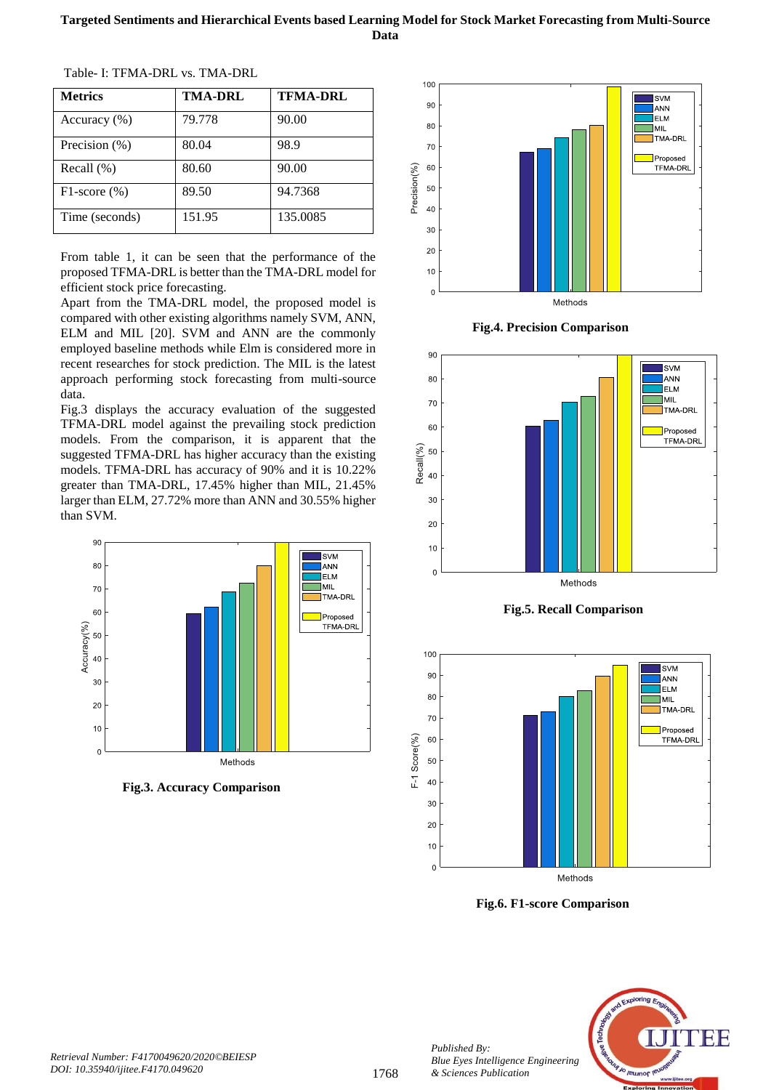| <b>Metrics</b>     | TMA-DRL | <b>TFMA-DRL</b> |
|--------------------|---------|-----------------|
| Accuracy $(\% )$   | 79.778  | 90.00           |
| Precision (%)      | 80.04   | 98.9            |
| Recall $(\%)$      | 80.60   | 90.00           |
| $F1$ -score $(\%)$ | 89.50   | 94.7368         |
| Time (seconds)     | 151.95  | 135.0085        |

Table- I: TFMA-DRL vs. TMA-DRL

From table 1, it can be seen that the performance of the proposed TFMA-DRL is better than the TMA-DRL model for efficient stock price forecasting.

Apart from the TMA-DRL model, the proposed model is compared with other existing algorithms namely SVM, ANN, ELM and MIL [20]. SVM and ANN are the commonly employed baseline methods while Elm is considered more in recent researches for stock prediction. The MIL is the latest approach performing stock forecasting from multi-source data.

Fig.3 displays the accuracy evaluation of the suggested TFMA-DRL model against the prevailing stock prediction models. From the comparison, it is apparent that the suggested TFMA-DRL has higher accuracy than the existing models. TFMA-DRL has accuracy of 90% and it is 10.22% greater than TMA-DRL, 17.45% higher than MIL, 21.45% larger than ELM, 27.72% more than ANN and 30.55% higher than SVM.



 **Fig.3. Accuracy Comparison**



 **Fig.4. Precision Comparison**







 **Fig.6. F1-score Comparison**



*Published By:*

*& Sciences Publication*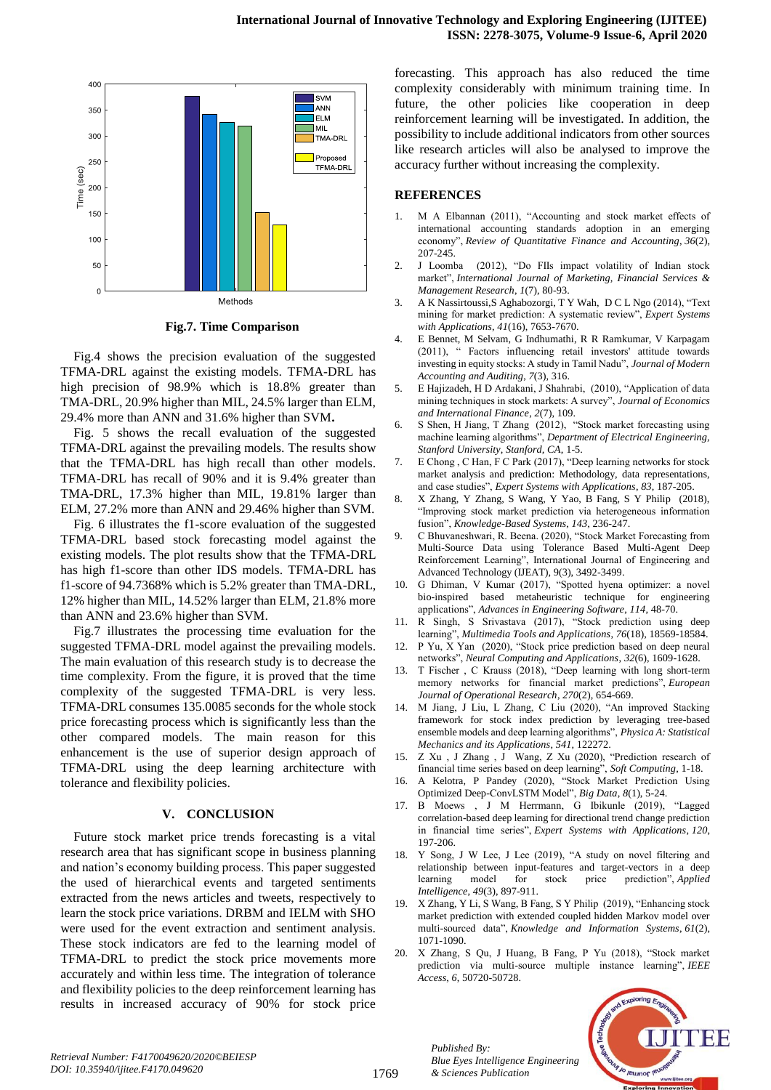

 **Fig.7. Time Comparison**

Fig.4 shows the precision evaluation of the suggested TFMA-DRL against the existing models. TFMA-DRL has high precision of 98.9% which is 18.8% greater than TMA-DRL, 20.9% higher than MIL, 24.5% larger than ELM, 29.4% more than ANN and 31.6% higher than SVM**.**

Fig. 5 shows the recall evaluation of the suggested TFMA-DRL against the prevailing models. The results show that the TFMA-DRL has high recall than other models. TFMA-DRL has recall of 90% and it is 9.4% greater than TMA-DRL, 17.3% higher than MIL, 19.81% larger than ELM, 27.2% more than ANN and 29.46% higher than SVM.

Fig. 6 illustrates the f1-score evaluation of the suggested TFMA-DRL based stock forecasting model against the existing models. The plot results show that the TFMA-DRL has high f1-score than other IDS models. TFMA-DRL has f1-score of 94.7368% which is 5.2% greater than TMA-DRL, 12% higher than MIL, 14.52% larger than ELM, 21.8% more than ANN and 23.6% higher than SVM.

Fig.7 illustrates the processing time evaluation for the suggested TFMA-DRL model against the prevailing models. The main evaluation of this research study is to decrease the time complexity. From the figure, it is proved that the time complexity of the suggested TFMA-DRL is very less. TFMA-DRL consumes 135.0085 seconds for the whole stock price forecasting process which is significantly less than the other compared models. The main reason for this enhancement is the use of superior design approach of TFMA-DRL using the deep learning architecture with tolerance and flexibility policies.

#### **V. CONCLUSION**

Future stock market price trends forecasting is a vital research area that has significant scope in business planning and nation's economy building process. This paper suggested the used of hierarchical events and targeted sentiments extracted from the news articles and tweets, respectively to learn the stock price variations. DRBM and IELM with SHO were used for the event extraction and sentiment analysis. These stock indicators are fed to the learning model of TFMA-DRL to predict the stock price movements more accurately and within less time. The integration of tolerance and flexibility policies to the deep reinforcement learning has results in increased accuracy of 90% for stock price forecasting. This approach has also reduced the time complexity considerably with minimum training time. In future, the other policies like cooperation in deep reinforcement learning will be investigated. In addition, the possibility to include additional indicators from other sources like research articles will also be analysed to improve the accuracy further without increasing the complexity.

#### **REFERENCES**

- 1. M A Elbannan (2011), "Accounting and stock market effects of international accounting standards adoption in an emerging economy", *Review of Quantitative Finance and Accounting*, *36*(2), 207-245.
- 2. J Loomba (2012), "Do FIIs impact volatility of Indian stock market", *International Journal of Marketing, Financial Services & Management Research*, *1*(7), 80-93.
- 3. A K Nassirtoussi,S Aghabozorgi, T Y Wah, D C L Ngo (2014), "Text mining for market prediction: A systematic review", *Expert Systems with Applications*, *41*(16), 7653-7670.
- 4. E Bennet, M Selvam, G Indhumathi, R R Ramkumar, V Karpagam (2011), " Factors influencing retail investors' attitude towards investing in equity stocks: A study in Tamil Nadu", *Journal of Modern Accounting and Auditing*, *7*(3), 316.
- 5. E Hajizadeh, H D Ardakani, J Shahrabi, (2010), "Application of data mining techniques in stock markets: A survey", *Journal of Economics and International Finance*, *2*(7), 109.
- 6. S Shen, H Jiang, T Zhang (2012), "Stock market forecasting using machine learning algorithms", *Department of Electrical Engineering, Stanford University, Stanford, CA*, 1-5.
- 7. E Chong , C Han, F C Park (2017), "Deep learning networks for stock market analysis and prediction: Methodology, data representations, and case studies", *Expert Systems with Applications*, *83*, 187-205.
- 8. X Zhang, Y Zhang, S Wang, Y Yao, B Fang, S Y Philip (2018), "Improving stock market prediction via heterogeneous information fusion", *Knowledge-Based Systems*, *143*, 236-247.
- 9. C Bhuvaneshwari, R. Beena. (2020), "Stock Market Forecasting from Multi-Source Data using Tolerance Based Multi-Agent Deep Reinforcement Learning", International Journal of Engineering and Advanced Technology (IJEAT), 9(3), 3492-3499.
- 10. G Dhiman, V Kumar (2017), "Spotted hyena optimizer: a novel bio-inspired based metaheuristic technique for engineering applications", *Advances in Engineering Software*, *114*, 48-70.
- 11. R Singh, S Srivastava (2017), "Stock prediction using deep learning", *Multimedia Tools and Applications*, *76*(18), 18569-18584.
- 12. P Yu, X Yan (2020), "Stock price prediction based on deep neural networks", *Neural Computing and Applications*, *32*(6), 1609-1628.
- 13. T Fischer , C Krauss (2018), "Deep learning with long short-term memory networks for financial market predictions", *European Journal of Operational Research*, *270*(2), 654-669.
- 14. M Jiang, J Liu, L Zhang, C Liu (2020), "An improved Stacking framework for stock index prediction by leveraging tree-based ensemble models and deep learning algorithms", *Physica A: Statistical Mechanics and its Applications*, *541*, 122272.
- 15. Z Xu , J Zhang , J Wang, Z Xu (2020), "Prediction research of financial time series based on deep learning", *Soft Computing*, 1-18.
- 16. A Kelotra, P Pandey (2020), "Stock Market Prediction Using Optimized Deep-ConvLSTM Model", *Big Data*, *8*(1), 5-24.
- 17. B Moews , J M Herrmann, G Ibikunle (2019), "Lagged correlation-based deep learning for directional trend change prediction in financial time series", *Expert Systems with Applications*, *120*, 197-206.
- 18. Y Song, J W Lee, J Lee (2019), "A study on novel filtering and relationship between input-features and target-vectors in a deep learning model for stock price prediction", *Applied Intelligence*, *49*(3), 897-911.
- 19. X Zhang, Y Li, S Wang, B Fang, S Y Philip (2019), "Enhancing stock market prediction with extended coupled hidden Markov model over multi-sourced data", *Knowledge and Information Systems*, *61*(2), 1071-1090.
- 20. X Zhang, S Qu, J Huang, B Fang, P Yu (2018), "Stock market prediction via multi-source multiple instance learning", *IEEE Access*, *6*, 50720-50728.



*Published By:*

*& Sciences Publication* 

*Blue Eyes Intelligence Engineering*